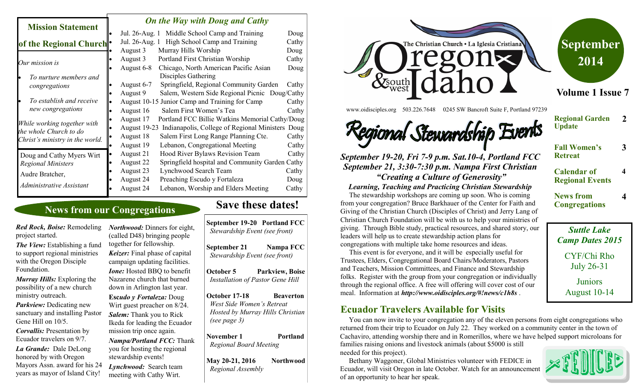| <b>Mission Statement</b>                                                                 |           | <b>On the Way with Doug and Cathy</b> |                                                  |       |  |
|------------------------------------------------------------------------------------------|-----------|---------------------------------------|--------------------------------------------------|-------|--|
|                                                                                          |           | Jul. 26-Aug. 1                        | Middle School Camp and Training                  | Doug  |  |
| of the Regional Church <sup>.</sup>                                                      |           | Jul. 26-Aug. 1                        | High School Camp and Training                    | Cathy |  |
|                                                                                          |           | August 3                              | Murray Hills Worship                             | Doug  |  |
| Our mission is                                                                           |           | August 3                              | Portland First Christian Worship                 | Cathy |  |
|                                                                                          |           | August 6-8                            | Chicago, North American Pacific Asian            | Doug  |  |
| To nurture members and                                                                   |           |                                       | Disciples Gathering                              |       |  |
| congregations                                                                            |           | August 6-7                            | Springfield, Regional Community Garden           | Cathy |  |
|                                                                                          |           | August 9                              | Salem, Western Side Regional Picnic Doug/Cathy   |       |  |
| To establish and receive                                                                 |           |                                       | August 10-15 Junior Camp and Training for Camp   | Cathy |  |
| new congregations                                                                        |           | August 16                             | Salem First Women's Tea                          | Cathy |  |
| While working together with<br>the whole Church to do<br>Christ's ministry in the world. | ٠         | August 17                             | Portland FCC Billie Watkins Memorial Cathy/Doug  |       |  |
|                                                                                          |           | August 19-23                          | Indianapolis, College of Regional Ministers Doug |       |  |
|                                                                                          |           | August 18                             | Salem First Long Range Planning Cte.             | Cathy |  |
|                                                                                          | $\bullet$ | August 19                             | Lebanon, Congregational Meeting                  | Cathy |  |
| Doug and Cathy Myers Wirt                                                                |           | August 21                             | Hood River Bylaws Revision Team                  | Cathy |  |
| <b>Regional Ministers</b>                                                                | $\bullet$ | August 22                             | Springfield hospital and Community Garden Cathy  |       |  |
| Audre Bratcher,                                                                          |           | August 23                             | Lynchwood Search Team                            | Cathy |  |
|                                                                                          |           | August 24                             | Preaching Escudo y Fortaleza                     | Doug  |  |
| Administrative Assistant                                                                 |           | August 24                             | Lebanon, Worship and Elders Meeting              | Cathy |  |

## **News from our Congregations**

*Red Rock, Boise:* Remodeling project started.

*The View:* Establishing a fund to support regional ministries with the Oregon Disciple Foundation.

*Murray Hills:* Exploring the possibility of a new church ministry outreach.

*Parkview:* Dedicating new sanctuary and installing Pastor Gene Hill on 10/5.

*Corvallis:* Presentation by Ecuador travelers on 9/7.

*La Grande:* Dale DeLong honored by with Oregon Mayors Assn. award for his 24 years as mayor of Island City!

*Northwood:* Dinners for eight, (called D48) bringing people together for fellowship. *Keizer:* Final phase of capital campaign updating facilities. *Ione:* Hosted BBQ to benefit Nazarene church that burned down in Arlington last year. **Esc***udo y Fortaleza:* Doug Wirt guest preacher on 8/24. *Salem:* Thank you to Rick Ikeda for leading the Ecuador

mission trip once again.

*Nampa/Portland FCC:* Thank you for hosting the regional stewardship events!

*Lynchwood:* Search team meeting with Cathy Wirt.

## **Save these dates!**

**September 19-20 Portland FCC** *Stewardship Event (see front)*

**September 21** Nampa FCC *Stewardship Event (see front)*

**October 5 Parkview, Boise** *Installation of Pastor Gene Hill*

**October 17-18 Beaverton**  *West Side Women's Retreat Hosted by Murray Hills Christian (see page 3)* 

**November 1** Portland *Regional Board Meeting*

**May 20-21, 2016 Northwood** *Regional Assembly*



www.oidisciples.org 503.226.7648 0245 SW Bancroft Suite F, Portland 97239



*September 19-20, Fri 7-9 p.m. Sat.10-4, Portland FCC September 21, 3:30-7:30 p.m. Nampa First Christian "Creating a Culture of Generosity"*

*Learning, Teaching and Practicing Christian Stewardship*

 The stewardship workshops are coming up soon. Who is coming from your congregation? Bruce Barkhauer of the Center for Faith and Giving of the Christian Church (Disciples of Christ) and Jerry Lang of Christian Church Foundation will be with us to help your ministries of giving. Through Bible study, practical resources, and shared story, our leaders will help us to create stewardship action plans for congregations with multiple take home resources and ideas.

 This event is for everyone, and it will be especially useful for Trustees, Elders, Congregational Board Chairs/Moderators, Pastors and Teachers, Mission Committees, and Finance and Stewardship folks. Register with the group from your congregation or individually through the regional office. A free will offering will cover cost of our meal. Information at *http://www.oidisciples.org/#!news/c1h8s* .

#### **Ecuador Travelers Available for Visits**

 You can now invite to your congregation any of the eleven persons from eight congregations who returned from their trip to Ecuador on July 22. They worked on a community center in the town of Cachaviro, attending worship there and in Romerillos, where we have helped support microloans for families raising onions and livestock animals (about \$5000 is still

needed for this project).

 Bethany Waggoner, Global Ministries volunteer with FEDICE in Ecuador, will visit Oregon in late October. Watch for an announcement of an opportunity to hear her speak.



*Suttle Lake Camp Dates 2015* CYF/Chi Rho July 26-31 **Juniors** August 10-14

**Fall Women's Retreat 3**

**2**

**4**

**4**

**Calendar of Regional Events**

**Regional Garden** 

**2014**

**Update**

**News from Congregations**